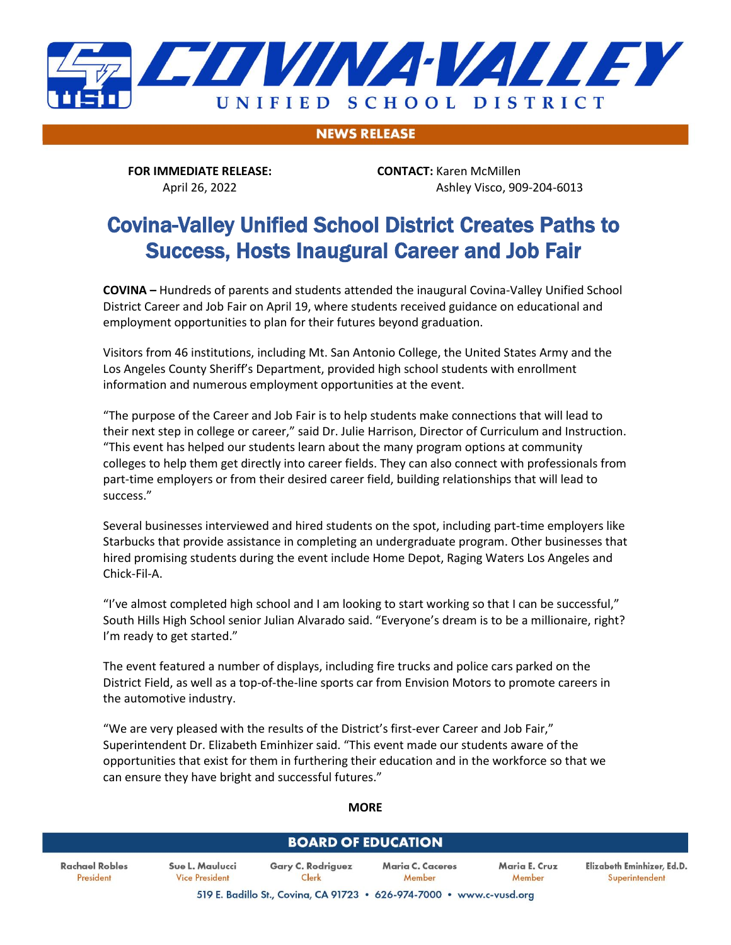

**NEWS RELEASE** 

**FOR IMMEDIATE RELEASE: CONTACT:** Karen McMillen

April 26, 2022 Ashley Visco, 909-204-6013

# Covina-Valley Unified School District Creates Paths to Success, Hosts Inaugural Career and Job Fair

**COVINA –** Hundreds of parents and students attended the inaugural Covina-Valley Unified School District Career and Job Fair on April 19, where students received guidance on educational and employment opportunities to plan for their futures beyond graduation.

Visitors from 46 institutions, including Mt. San Antonio College, the United States Army and the Los Angeles County Sheriff's Department, provided high school students with enrollment information and numerous employment opportunities at the event.

"The purpose of the Career and Job Fair is to help students make connections that will lead to their next step in college or career," said Dr. Julie Harrison, Director of Curriculum and Instruction. "This event has helped our students learn about the many program options at community colleges to help them get directly into career fields. They can also connect with professionals from part-time employers or from their desired career field, building relationships that will lead to success."

Several businesses interviewed and hired students on the spot, including part-time employers like Starbucks that provide assistance in completing an undergraduate program. Other businesses that hired promising students during the event include Home Depot, Raging Waters Los Angeles and Chick-Fil-A.

"I've almost completed high school and I am looking to start working so that I can be successful," South Hills High School senior Julian Alvarado said. "Everyone's dream is to be a millionaire, right? I'm ready to get started."

The event featured a number of displays, including fire trucks and police cars parked on the District Field, as well as a top-of-the-line sports car from Envision Motors to promote careers in the automotive industry.

"We are very pleased with the results of the District's first-ever Career and Job Fair," Superintendent Dr. Elizabeth Eminhizer said. "This event made our students aware of the opportunities that exist for them in furthering their education and in the workforce so that we can ensure they have bright and successful futures."

#### **MORE**

### **BOARD OF EDUCATION**

**Rachael Robles** President

Sue L. Maulucci Gary C. Rodriguez Maria C. Caceres **Vice President** Clerk Member

Maria E. Cruz Elizabeth Eminhizer, Ed.D. Member Superintendent